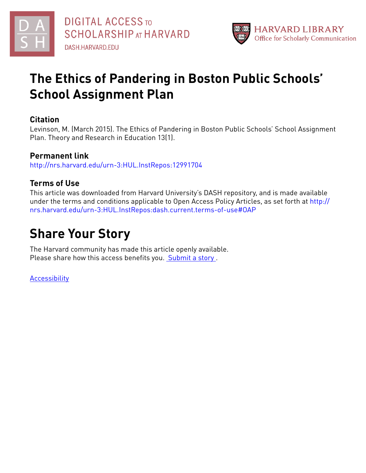



# **The Ethics of Pandering in Boston Public Schools' School Assignment Plan**

# **Citation**

Levinson, M. (March 2015). The Ethics of Pandering in Boston Public Schools' School Assignment Plan. Theory and Research in Education 13(1).

# **Permanent link**

<http://nrs.harvard.edu/urn-3:HUL.InstRepos:12991704>

# **Terms of Use**

This article was downloaded from Harvard University's DASH repository, and is made available under the terms and conditions applicable to Open Access Policy Articles, as set forth at [http://](http://nrs.harvard.edu/urn-3:HUL.InstRepos:dash.current.terms-of-use#OAP) [nrs.harvard.edu/urn-3:HUL.InstRepos:dash.current.terms-of-use#OAP](http://nrs.harvard.edu/urn-3:HUL.InstRepos:dash.current.terms-of-use#OAP)

# **Share Your Story**

The Harvard community has made this article openly available. Please share how this access benefits you. [Submit](http://osc.hul.harvard.edu/dash/open-access-feedback?handle=&title=The%20Ethics%20of%20Pandering%20in%20Boston%20Public%20Schools%E2%80%99%20School%20Assignment%20Plan&community=1/3345927&collection=1/3345928&owningCollection1/3345928&harvardAuthors=64d669d579edb5811c82733884a812e8&department) a story.

**[Accessibility](https://dash.harvard.edu/pages/accessibility)**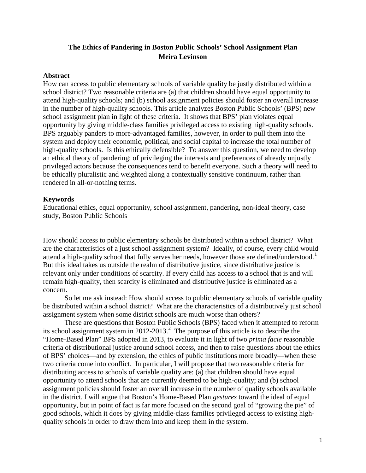## **The Ethics of Pandering in Boston Public Schools' School Assignment Plan Meira Levinson**

#### **Abstract**

How can access to public elementary schools of variable quality be justly distributed within a school district? Two reasonable criteria are (a) that children should have equal opportunity to attend high-quality schools; and (b) school assignment policies should foster an overall increase in the number of high-quality schools. This article analyzes Boston Public Schools' (BPS) new school assignment plan in light of these criteria. It shows that BPS' plan violates equal opportunity by giving middle-class families privileged access to existing high-quality schools. BPS arguably panders to more-advantaged families, however, in order to pull them into the system and deploy their economic, political, and social capital to increase the total number of high-quality schools. Is this ethically defensible? To answer this question, we need to develop an ethical theory of pandering: of privileging the interests and preferences of already unjustly privileged actors because the consequences tend to benefit everyone. Such a theory will need to be ethically pluralistic and weighted along a contextually sensitive continuum, rather than rendered in all-or-nothing terms.

#### **Keywords**

Educational ethics, equal opportunity, school assignment, pandering, non-ideal theory, case study, Boston Public Schools

How should access to public elementary schools be distributed within a school district? What are the characteristics of a just school assignment system? Ideally, of course, every child would attend a high-quality school that fully serves her needs, however those are defined/understood.<sup>[1](#page-16-0)</sup> But this ideal takes us outside the realm of distributive justice, since distributive justice is relevant only under conditions of scarcity. If every child has access to a school that is and will remain high-quality, then scarcity is eliminated and distributive justice is eliminated as a concern.

So let me ask instead: How should access to public elementary schools of variable quality be distributed within a school district? What are the characteristics of a distributively just school assignment system when some district schools are much worse than others?

These are questions that Boston Public Schools (BPS) faced when it attempted to reform its school assignment system in [2](#page-16-1)012-2013.<sup>2</sup> The purpose of this article is to describe the "Home-Based Plan" BPS adopted in 2013, to evaluate it in light of two *prima facie* reasonable criteria of distributional justice around school access, and then to raise questions about the ethics of BPS' choices—and by extension, the ethics of public institutions more broadly—when these two criteria come into conflict. In particular, I will propose that two reasonable criteria for distributing access to schools of variable quality are: (a) that children should have equal opportunity to attend schools that are currently deemed to be high-quality; and (b) school assignment policies should foster an overall increase in the number of quality schools available in the district. I will argue that Boston's Home-Based Plan *gestures* toward the ideal of equal opportunity, but in point of fact is far more focused on the second goal of "growing the pie" of good schools, which it does by giving middle-class families privileged access to existing highquality schools in order to draw them into and keep them in the system.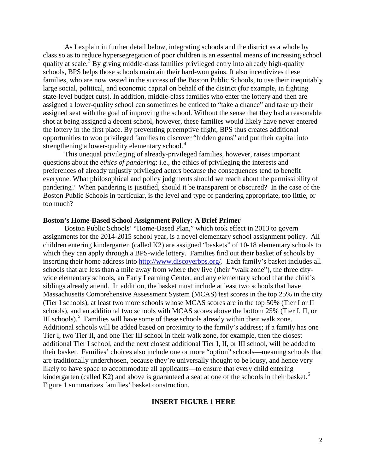As I explain in further detail below, integrating schools and the district as a whole by class so as to reduce hypersegregation of poor children is an essential means of increasing school quality at scale.<sup>[3](#page-16-2)</sup> By giving middle-class families privileged entry into already high-quality schools, BPS helps those schools maintain their hard-won gains. It also incentivizes these families, who are now vested in the success of the Boston Public Schools, to use their inequitably large social, political, and economic capital on behalf of the district (for example, in fighting state-level budget cuts). In addition, middle-class families who enter the lottery and then are assigned a lower-quality school can sometimes be enticed to "take a chance" and take up their assigned seat with the goal of improving the school. Without the sense that they had a reasonable shot at being assigned a decent school, however, these families would likely have never entered the lottery in the first place. By preventing preemptive flight, BPS thus creates additional opportunities to woo privileged families to discover "hidden gems" and put their capital into strengthening a lower-quality elementary school.<sup>[4](#page-16-3)</sup>

This unequal privileging of already-privileged families, however, raises important questions about the *ethics of pandering*: i.e., the ethics of privileging the interests and preferences of already unjustly privileged actors because the consequences tend to benefit everyone. What philosophical and policy judgments should we reach about the permissibility of pandering? When pandering is justified, should it be transparent or obscured? In the case of the Boston Public Schools in particular, is the level and type of pandering appropriate, too little, or too much?

#### **Boston's Home-Based School Assignment Policy: A Brief Primer**

Boston Public Schools' "Home-Based Plan," which took effect in 2013 to govern assignments for the 2014-2015 school year, is a novel elementary school assignment policy. All children entering kindergarten (called K2) are assigned "baskets" of 10-18 elementary schools to which they can apply through a BPS-wide lottery. Families find out their basket of schools by inserting their home address into [http://www.discoverbps.org/.](http://www.discoverbps.org/) Each family's basket includes all schools that are less than a mile away from where they live (their "walk zone"), the three citywide elementary schools, an Early Learning Center, and any elementary school that the child's siblings already attend. In addition, the basket must include at least two schools that have Massachusetts Comprehensive Assessment System (MCAS) test scores in the top 25% in the city (Tier I schools), at least two more schools whose MCAS scores are in the top 50% (Tier I or II schools), and an additional two schools with MCAS scores above the bottom 25% (Tier I, II, or III schools).<sup>[5](#page-16-4)</sup> Families will have some of these schools already within their walk zone. Additional schools will be added based on proximity to the family's address; if a family has one Tier I, two Tier II, and one Tier III school in their walk zone, for example, then the closest additional Tier I school, and the next closest additional Tier I, II, or III school, will be added to their basket. Families' choices also include one or more "option" schools—meaning schools that are traditionally underchosen, because they're universally thought to be lousy, and hence very likely to have space to accommodate all applicants—to ensure that every child entering kindergarten (called K2) and above is guaranteed a seat at one of the schools in their basket.<sup>[6](#page-17-0)</sup> Figure 1 summarizes families' basket construction.

## **INSERT FIGURE 1 HERE**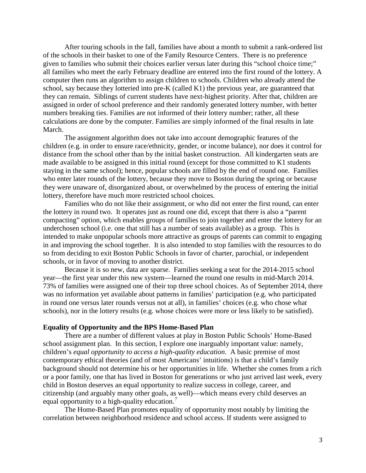After touring schools in the fall, families have about a month to submit a rank-ordered list of the schools in their basket to one of the Family Resource Centers. There is no preference given to families who submit their choices earlier versus later during this "school choice time;" all families who meet the early February deadline are entered into the first round of the lottery. A computer then runs an algorithm to assign children to schools. Children who already attend the school, say because they lotteried into pre-K (called K1) the previous year, are guaranteed that they can remain. Siblings of current students have next-highest priority. After that, children are assigned in order of school preference and their randomly generated lottery number, with better numbers breaking ties. Families are not informed of their lottery number; rather, all these calculations are done by the computer. Families are simply informed of the final results in late March.

The assignment algorithm does not take into account demographic features of the children (e.g. in order to ensure race/ethnicity, gender, or income balance), nor does it control for distance from the school other than by the initial basket construction. All kindergarten seats are made available to be assigned in this initial round (except for those committed to K1 students staying in the same school); hence, popular schools are filled by the end of round one. Families who enter later rounds of the lottery, because they move to Boston during the spring or because they were unaware of, disorganized about, or overwhelmed by the process of entering the initial lottery, therefore have much more restricted school choices.

Families who do not like their assignment, or who did not enter the first round, can enter the lottery in round two. It operates just as round one did, except that there is also a "parent compacting" option, which enables groups of families to join together and enter the lottery for an underchosen school (i.e. one that still has a number of seats available) as a group. This is intended to make unpopular schools more attractive as groups of parents can commit to engaging in and improving the school together. It is also intended to stop families with the resources to do so from deciding to exit Boston Public Schools in favor of charter, parochial, or independent schools, or in favor of moving to another district.

Because it is so new, data are sparse. Families seeking a seat for the 2014-2015 school year—the first year under this new system—learned the round one results in mid-March 2014. 73% of families were assigned one of their top three school choices. As of September 2014, there was no information yet available about patterns in families' participation (e.g. who participated in round one versus later rounds versus not at all), in families' choices (e.g. who chose what schools), nor in the lottery results (e.g. whose choices were more or less likely to be satisfied).

#### **Equality of Opportunity and the BPS Home-Based Plan**

There are a number of different values at play in Boston Public Schools' Home-Based school assignment plan. In this section, I explore one inarguably important value: namely, children's *equal opportunity to access a high-quality education*. A basic premise of most contemporary ethical theories (and of most Americans' intuitions) is that a child's family background should not determine his or her opportunities in life. Whether she comes from a rich or a poor family, one that has lived in Boston for generations or who just arrived last week, every child in Boston deserves an equal opportunity to realize success in college, career, and citizenship (and arguably many other goals, as well)—which means every child deserves an equal opportunity to a high-quality education.<sup>[7](#page-17-1)</sup>

The Home-Based Plan promotes equality of opportunity most notably by limiting the correlation between neighborhood residence and school access. If students were assigned to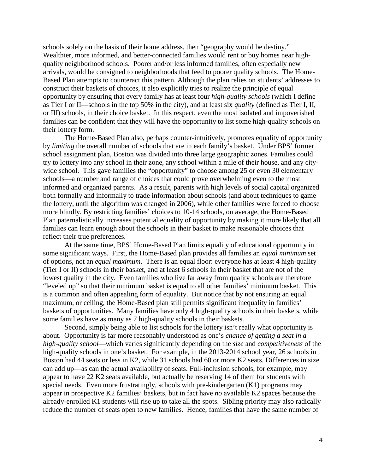schools solely on the basis of their home address, then "geography would be destiny." Wealthier, more informed, and better-connected families would rent or buy homes near highquality neighborhood schools. Poorer and/or less informed families, often especially new arrivals, would be consigned to neighborhoods that feed to poorer quality schools. The Home-Based Plan attempts to counteract this pattern. Although the plan relies on students' addresses to construct their baskets of choices, it also explicitly tries to realize the principle of equal opportunity by ensuring that every family has at least four *high-quality schools* (which I define as Tier I or II—schools in the top 50% in the city), and at least six *quality* (defined as Tier I, II, or III) schools, in their choice basket. In this respect, even the most isolated and impoverished families can be confident that they will have the opportunity to list some high-quality schools on their lottery form.

The Home-Based Plan also, perhaps counter-intuitively, promotes equality of opportunity by *limiting* the overall number of schools that are in each family's basket. Under BPS' former school assignment plan, Boston was divided into three large geographic zones. Families could try to lottery into any school in their zone, any school within a mile of their house, and any citywide school. This gave families the "opportunity" to choose among 25 or even 30 elementary schools—a number and range of choices that could prove overwhelming even to the most informed and organized parents. As a result, parents with high levels of social capital organized both formally and informally to trade information about schools (and about techniques to game the lottery, until the algorithm was changed in 2006), while other families were forced to choose more blindly. By restricting families' choices to 10-14 schools, on average, the Home-Based Plan paternalistically increases potential equality of opportunity by making it more likely that all families can learn enough about the schools in their basket to make reasonable choices that reflect their true preferences.

At the same time, BPS' Home-Based Plan limits equality of educational opportunity in some significant ways. First, the Home-Based plan provides all families an *equal minimum* set of options, not an *equal maximum*. There is an equal floor: everyone has at least 4 high-quality (Tier I or II) schools in their basket, and at least 6 schools in their basket that are not of the lowest quality in the city. Even families who live far away from quality schools are therefore "leveled up" so that their minimum basket is equal to all other families' minimum basket. This is a common and often appealing form of equality. But notice that by not ensuring an equal maximum, or ceiling, the Home-Based plan still permits significant inequality in families' baskets of opportunities. Many families have only 4 high-quality schools in their baskets, while some families have as many as 7 high-quality schools in their baskets.

Second, simply being able to list schools for the lottery isn't really what opportunity is about. Opportunity is far more reasonably understood as one's *chance of getting a seat in a high-quality school*—which varies significantly depending on the *size* and *competitiveness* of the high-quality schools in one's basket. For example, in the 2013-2014 school year, 26 schools in Boston had 44 seats or less in K2, while 31 schools had 60 or more K2 seats. Differences in size can add up—as can the actual availability of seats. Full-inclusion schools, for example, may appear to have 22 K2 seats available, but actually be reserving 14 of them for students with special needs. Even more frustratingly, schools with pre-kindergarten (K1) programs may appear in prospective K2 families' baskets, but in fact have *no* available K2 spaces because the already-enrolled K1 students will rise up to take all the spots. Sibling priority may also radically reduce the number of seats open to new families. Hence, families that have the same number of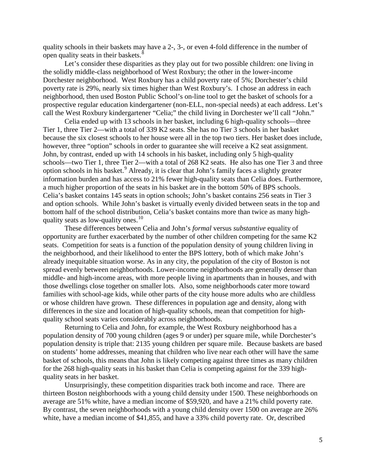quality schools in their baskets may have a 2-, 3-, or even 4-fold difference in the number of open quality seats in their baskets.<sup>[8](#page-17-2)</sup>

Let's consider these disparities as they play out for two possible children: one living in the solidly middle-class neighborhood of West Roxbury; the other in the lower-income Dorchester neighborhood. West Roxbury has a child poverty rate of 5%; Dorchester's child poverty rate is 29%, nearly six times higher than West Roxbury's. I chose an address in each neighborhood, then used Boston Public School's on-line tool to get the basket of schools for a prospective regular education kindergartener (non-ELL, non-special needs) at each address. Let's call the West Roxbury kindergartener "Celia;" the child living in Dorchester we'll call "John."

Celia ended up with 13 schools in her basket, including 6 high-quality schools—three Tier 1, three Tier 2—with a total of 339 K2 seats. She has no Tier 3 schools in her basket because the six closest schools to her house were all in the top two tiers. Her basket does include, however, three "option" schools in order to guarantee she will receive a K2 seat assignment. John, by contrast, ended up with 14 schools in his basket, including only 5 high-quality schools—two Tier 1, three Tier 2—with a total of 268 K2 seats. He also has one Tier 3 and three option schools in his basket.[9](#page-17-3) Already, it is clear that John's family faces a slightly greater information burden and has access to 21% fewer high-quality seats than Celia does. Furthermore, a much higher proportion of the seats in his basket are in the bottom 50% of BPS schools. Celia's basket contains 145 seats in option schools; John's basket contains 256 seats in Tier 3 and option schools. While John's basket is virtually evenly divided between seats in the top and bottom half of the school distribution, Celia's basket contains more than twice as many high-quality seats as low-quality ones.<sup>[10](#page-17-4)</sup>

These differences between Celia and John's *formal* versus *substantive* equality of opportunity are further exacerbated by the number of other children competing for the same K2 seats. Competition for seats is a function of the population density of young children living in the neighborhood, and their likelihood to enter the BPS lottery, both of which make John's already inequitable situation worse. As in any city, the population of the city of Boston is not spread evenly between neighborhoods. Lower-income neighborhoods are generally denser than middle- and high-income areas, with more people living in apartments than in houses, and with those dwellings close together on smaller lots. Also, some neighborhoods cater more toward families with school-age kids, while other parts of the city house more adults who are childless or whose children have grown. These differences in population age and density, along with differences in the size and location of high-quality schools, mean that competition for highquality school seats varies considerably across neighborhoods.

Returning to Celia and John, for example, the West Roxbury neighborhood has a population density of 700 young children (ages 9 or under) per square mile, while Dorchester's population density is triple that: 2135 young children per square mile. Because baskets are based on students' home addresses, meaning that children who live near each other will have the same basket of schools, this means that John is likely competing against three times as many children for the 268 high-quality seats in his basket than Celia is competing against for the 339 highquality seats in her basket.

Unsurprisingly, these competition disparities track both income and race. There are thirteen Boston neighborhoods with a young child density under 1500. These neighborhoods on average are 51% white, have a median income of \$59,920, and have a 21% child poverty rate. By contrast, the seven neighborhoods with a young child density over 1500 on average are 26% white, have a median income of \$41,855, and have a 33% child poverty rate. Or, described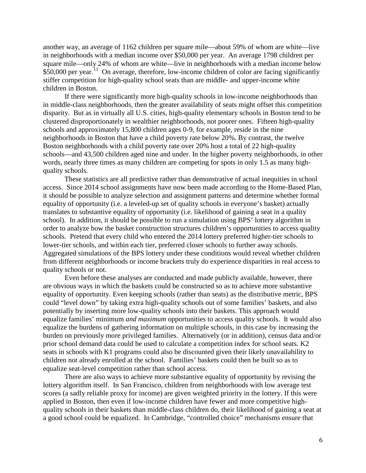another way, an average of 1162 children per square mile—about 59% of whom are white—live in neighborhoods with a median income over \$50,000 per year. An average 1798 children per square mile—only 24% of whom are white—live in neighborhoods with a median income below \$50,000 per year.<sup>11</sup> On average, therefore, low-income children of color are facing significantly stiffer competition for high-quality school seats than are middle- and upper-income white children in Boston.

If there were significantly more high-quality schools in low-income neighborhoods than in middle-class neighborhoods, then the greater availability of seats might offset this competition disparity. But as in virtually all U.S. cities, high-quality elementary schools in Boston tend to be clustered disproportionately in wealthier neighborhoods, not poorer ones. Fifteen high-quality schools and approximately 15,800 children ages 0-9, for example, reside in the nine neighborhoods in Boston that have a child poverty rate below 20%. By contrast, the twelve Boston neighborhoods with a child poverty rate over 20% host a total of 22 high-quality schools—and 43,500 children aged nine and under. In the higher poverty neighborhoods, in other words, nearly three times as many children are competing for spots in only 1.5 as many highquality schools.

These statistics are all predictive rather than demonstrative of actual inequities in school access. Since 2014 school assignments have now been made according to the Home-Based Plan, it should be possible to analyze selection and assignment patterns and determine whether formal equality of opportunity (i.e. a leveled-up set of quality schools in everyone's basket) actually translates to substantive equality of opportunity (i.e. likelihood of gaining a seat in a quality school). In addition, it should be possible to run a simulation using BPS' lottery algorithm in order to analyze how the basket construction structures children's opportunities to access quality schools. Pretend that every child who entered the 2014 lottery preferred higher-tier schools to lower-tier schools, and within each tier, preferred closer schools to further away schools. Aggregated simulations of the BPS lottery under these conditions would reveal whether children from different neighborhoods or income brackets truly do experience disparities in real access to quality schools or not.

Even before these analyses are conducted and made publicly available, however, there are obvious ways in which the baskets could be constructed so as to achieve more substantive equality of opportunity. Even keeping schools (rather than seats) as the distributive metric, BPS could "level down" by taking extra high-quality schools out of some families' baskets, and also potentially by inserting more low-quality schools into their baskets. This approach would equalize families' minimum *and maximum* opportunities to access quality schools. It would also equalize the burdens of gathering information on multiple schools, in this case by increasing the burden on previously more privileged families. Alternatively (or in addition), census data and/or prior school demand data could be used to calculate a competition index for school seats. K2 seats in schools with K1 programs could also be discounted given their likely unavailability to children not already enrolled at the school. Families' baskets could then be built so as to equalize seat-level competition rather than school access.

There are also ways to achieve more substantive equality of opportunity by revising the lottery algorithm itself. In San Francisco, children from neighborhoods with low average test scores (a sadly reliable proxy for income) are given weighted priority in the lottery. If this were applied in Boston, then even if low-income children have fewer and more competitive highquality schools in their baskets than middle-class children do, their likelihood of gaining a seat at a good school could be equalized. In Cambridge, "controlled choice" mechanisms ensure that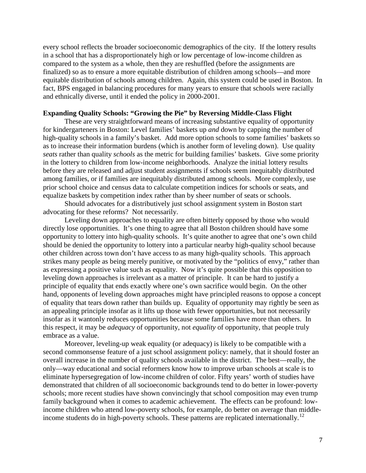every school reflects the broader socioeconomic demographics of the city. If the lottery results in a school that has a disproportionately high or low percentage of low-income children as compared to the system as a whole, then they are reshuffled (before the assignments are finalized) so as to ensure a more equitable distribution of children among schools—and more equitable distribution of schools among children. Again, this system could be used in Boston. In fact, BPS engaged in balancing procedures for many years to ensure that schools were racially and ethnically diverse, until it ended the policy in 2000-2001.

#### **Expanding Quality Schools: "Growing the Pie" by Reversing Middle-Class Flight**

These are very straightforward means of increasing substantive equality of opportunity for kindergarteners in Boston: Level families' baskets up *and* down by capping the number of high-quality schools in a family's basket. Add more option schools to some families' baskets so as to increase their information burdens (which is another form of leveling down). Use quality *seats* rather than quality *schools* as the metric for building families' baskets. Give some priority in the lottery to children from low-income neighborhoods. Analyze the initial lottery results before they are released and adjust student assignments if schools seem inequitably distributed among families, or if families are inequitably distributed among schools. More complexly, use prior school choice and census data to calculate competition indices for schools or seats, and equalize baskets by competition index rather than by sheer number of seats or schools.

Should advocates for a distributively just school assignment system in Boston start advocating for these reforms? Not necessarily.

Leveling down approaches to equality are often bitterly opposed by those who would directly lose opportunities. It's one thing to agree that all Boston children should have some opportunity to lottery into high-quality schools. It's quite another to agree that one's own child should be denied the opportunity to lottery into a particular nearby high-quality school because other children across town don't have access to as many high-quality schools. This approach strikes many people as being merely punitive, or motivated by the "politics of envy," rather than as expressing a positive value such as equality. Now it's quite possible that this opposition to leveling down approaches is irrelevant as a matter of principle. It can be hard to justify a principle of equality that ends exactly where one's own sacrifice would begin. On the other hand, opponents of leveling down approaches might have principled reasons to oppose a concept of equality that tears down rather than builds up. Equality of opportunity may rightly be seen as an appealing principle insofar as it lifts up those with fewer opportunities, but not necessarily insofar as it wantonly reduces opportunities because some families have more than others. In this respect, it may be *adequacy* of opportunity, not *equality* of opportunity, that people truly embrace as a value.

Moreover, leveling-up weak equality (or adequacy) is likely to be compatible with a second commonsense feature of a just school assignment policy: namely, that it should foster an overall increase in the number of quality schools available in the district. The best—really, the only—way educational and social reformers know how to improve urban schools at scale is to eliminate hypersegregation of low-income children of color. Fifty years' worth of studies have demonstrated that children of all socioeconomic backgrounds tend to do better in lower-poverty schools; more recent studies have shown convincingly that school composition may even trump family background when it comes to academic achievement. The effects can be profound: lowincome children who attend low-poverty schools, for example, do better on average than middle-income students do in high-poverty schools. These patterns are replicated internationally.<sup>[12](#page-17-6)</sup>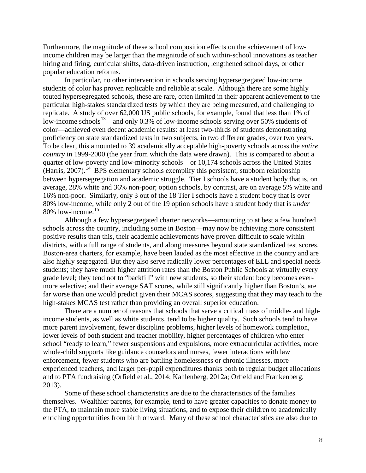Furthermore, the magnitude of these school composition effects on the achievement of lowincome children may be larger than the magnitude of such within-school innovations as teacher hiring and firing, curricular shifts, data-driven instruction, lengthened school days, or other popular education reforms.

In particular, no other intervention in schools serving hypersegregated low-income students of color has proven replicable and reliable at scale. Although there are some highly touted hypersegregated schools, these are rare, often limited in their apparent achievement to the particular high-stakes standardized tests by which they are being measured, and challenging to replicate. A study of over 62,000 US public schools, for example, found that less than 1% of low-income schools<sup>[13](#page-17-7)</sup>—and only 0.3% of low-income schools serving over 50% students of color—achieved even decent academic results: at least two-thirds of students demonstrating proficiency on state standardized tests in two subjects, in two different grades, over two years. To be clear, this amounted to 39 academically acceptable high-poverty schools across the *entire country* in 1999-2000 (the year from which the data were drawn). This is compared to about a quarter of low-poverty and low-minority schools—or 10,174 schools across the United States (Harris, 2007).<sup>14</sup> BPS elementary schools exemplify this persistent, stubborn relationship between hypersegregation and academic struggle. Tier I schools have a student body that is, on average, 28% white and 36% non-poor; option schools, by contrast, are on average 5% white and 16% non-poor. Similarly, only 3 out of the 18 Tier I schools have a student body that is over 80% low-income, while only 2 out of the 19 option schools have a student body that is *under* 80% low-income.<sup>[15](#page-17-9)</sup>

Although a few hypersegregated charter networks—amounting to at best a few hundred schools across the country, including some in Boston—may now be achieving more consistent positive results than this, their academic achievements have proven difficult to scale within districts, with a full range of students, and along measures beyond state standardized test scores. Boston-area charters, for example, have been lauded as the most effective in the country and are also highly segregated. But they also serve radically lower percentages of ELL and special needs students; they have much higher attrition rates than the Boston Public Schools at virtually every grade level; they tend not to "backfill" with new students, so their student body becomes evermore selective; and their average SAT scores, while still significantly higher than Boston's, are far worse than one would predict given their MCAS scores, suggesting that they may teach to the high-stakes MCAS test rather than providing an overall superior education.

There are a number of reasons that schools that serve a critical mass of middle- and highincome students, as well as white students, tend to be higher quality. Such schools tend to have more parent involvement, fewer discipline problems, higher levels of homework completion, lower levels of both student and teacher mobility, higher percentages of children who enter school "ready to learn," fewer suspensions and expulsions, more extracurricular activities, more whole-child supports like guidance counselors and nurses, fewer interactions with law enforcement, fewer students who are battling homelessness or chronic illnesses, more experienced teachers, and larger per-pupil expenditures thanks both to regular budget allocations and to PTA fundraising (Orfield et al., 2014; Kahlenberg, 2012a; Orfield and Frankenberg, 2013).

Some of these school characteristics are due to the characteristics of the families themselves. Wealthier parents, for example, tend to have greater capacities to donate money to the PTA, to maintain more stable living situations, and to expose their children to academically enriching opportunities from birth onward. Many of these school characteristics are also due to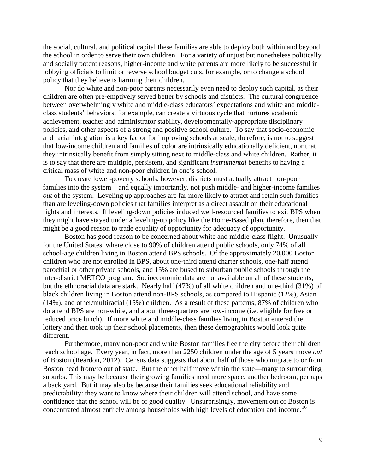the social, cultural, and political capital these families are able to deploy both within and beyond the school in order to serve their own children. For a variety of unjust but nonetheless politically and socially potent reasons, higher-income and white parents are more likely to be successful in lobbying officials to limit or reverse school budget cuts, for example, or to change a school policy that they believe is harming their children.

Nor do white and non-poor parents necessarily even need to deploy such capital, as their children are often pre-emptively served better by schools and districts. The cultural congruence between overwhelmingly white and middle-class educators' expectations and white and middleclass students' behaviors, for example, can create a virtuous cycle that nurtures academic achievement, teacher and administrator stability, developmentally-appropriate disciplinary policies, and other aspects of a strong and positive school culture. To say that socio-economic and racial integration is a key factor for improving schools at scale, therefore, is not to suggest that low-income children and families of color are intrinsically educationally deficient, nor that they intrinsically benefit from simply sitting next to middle-class and white children. Rather, it is to say that there are multiple, persistent, and significant *instrumental* benefits to having a critical mass of white and non-poor children in one's school.

To create lower-poverty schools, however, districts must actually attract non-poor families into the system—and equally importantly, not push middle- and higher-income families *out* of the system. Leveling up approaches are far more likely to attract and retain such families than are leveling-down policies that families interpret as a direct assault on their educational rights and interests. If leveling-down policies induced well-resourced families to exit BPS when they might have stayed under a leveling-up policy like the Home-Based plan, therefore, then that might be a good reason to trade equality of opportunity for adequacy of opportunity.

Boston has good reason to be concerned about white and middle-class flight. Unusually for the United States, where close to 90% of children attend public schools, only 74% of all school-age children living in Boston attend BPS schools. Of the approximately 20,000 Boston children who are not enrolled in BPS, about one-third attend charter schools, one-half attend parochial or other private schools, and 15% are bused to suburban public schools through the inter-district METCO program. Socioeconomic data are not available on all of these students, but the ethnoracial data are stark. Nearly half (47%) of all white children and one-third (31%) of black children living in Boston attend non-BPS schools, as compared to Hispanic (12%), Asian (14%), and other/multiracial (15%) children. As a result of these patterns, 87% of children who do attend BPS are non-white, and about three-quarters are low-income (i.e. eligible for free or reduced price lunch). If more white and middle-class families living in Boston entered the lottery and then took up their school placements, then these demographics would look quite different.

Furthermore, many non-poor and white Boston families flee the city before their children reach school age. Every year, in fact, more than 2250 children under the age of 5 years move *out* of Boston (Reardon, 2012). Census data suggests that about half of those who migrate to or from Boston head from/to out of state. But the other half move within the state—many to surrounding suburbs. This may be because their growing families need more space, another bedroom, perhaps a back yard. But it may also be because their families seek educational reliability and predictability: they want to know where their children will attend school, and have some confidence that the school will be of good quality. Unsurprisingly, movement out of Boston is concentrated almost entirely among households with high levels of education and income.<sup>[16](#page-17-10)</sup>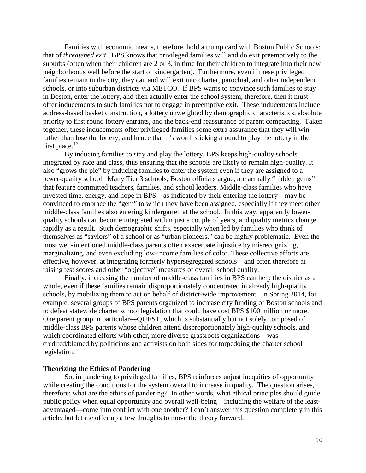Families with economic means, therefore, hold a trump card with Boston Public Schools: that of *threatened exit*. BPS knows that privileged families will and do exit preemptively to the suburbs (often when their children are 2 or 3, in time for their children to integrate into their new neighborhoods well before the start of kindergarten). Furthermore, even if these privileged families remain in the city, they can and will exit into charter, parochial, and other independent schools, or into suburban districts via METCO. If BPS wants to convince such families to stay in Boston, enter the lottery, and then actually enter the school system, therefore, then it must offer inducements to such families not to engage in preemptive exit. These inducements include address-based basket construction, a lottery unweighted by demographic characteristics, absolute priority to first round lottery entrants, and the back-end reassurance of parent compacting. Taken together, these inducements offer privileged families some extra assurance that they will win rather than lose the lottery, and hence that it's worth sticking around to play the lottery in the first place. $17$ 

By inducing families to stay and play the lottery, BPS keeps high-quality schools integrated by race and class, thus ensuring that the schools are likely to remain high-quality. It also "grows the pie" by inducing families to enter the system even if they are assigned to a lower-quality school. Many Tier 3 schools, Boston officials argue, are actually "hidden gems" that feature committed teachers, families, and school leaders. Middle-class families who have invested time, energy, and hope in BPS—as indicated by their entering the lottery—may be convinced to embrace the "gem" to which they have been assigned, especially if they meet other middle-class families also entering kindergarten at the school. In this way, apparently lowerquality schools can become integrated within just a couple of years, and quality metrics change rapidly as a result. Such demographic shifts, especially when led by families who think of themselves as "saviors" of a school or as "urban pioneers," can be highly problematic. Even the most well-intentioned middle-class parents often exacerbate injustice by misrecognizing, marginalizing, and even excluding low-income families of color. These collective efforts are effective, however, at integrating formerly hypersegregated schools—and often therefore at raising test scores and other "objective" measures of overall school quality.

Finally, increasing the number of middle-class families in BPS can help the district as a whole, even if these families remain disproportionately concentrated in already high-quality schools, by mobilizing them to act on behalf of district-wide improvement. In Spring 2014, for example, several groups of BPS parents organized to increase city funding of Boston schools and to defeat statewide charter school legislation that could have cost BPS \$100 million or more. One parent group in particular—QUEST, which is substantially but not solely composed of middle-class BPS parents whose children attend disproportionately high-quality schools, and which coordinated efforts with other, more diverse grassroots organizations—was credited/blamed by politicians and activists on both sides for torpedoing the charter school legislation.

### **Theorizing the Ethics of Pandering**

So, in pandering to privileged families, BPS reinforces unjust inequities of opportunity while creating the conditions for the system overall to increase in quality. The question arises, therefore: what are the ethics of pandering? In other words, what ethical principles should guide public policy when equal opportunity and overall well-being—including the welfare of the leastadvantaged—come into conflict with one another? I can't answer this question completely in this article, but let me offer up a few thoughts to move the theory forward.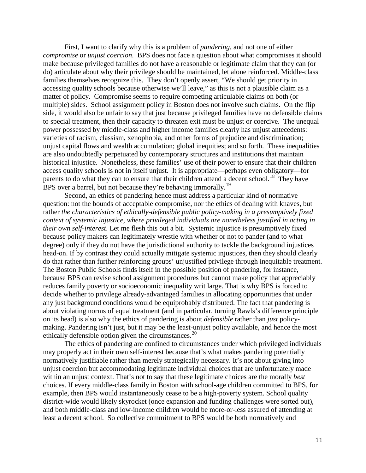First, I want to clarify why this is a problem of *pandering*, and not one of either *compromise* or *unjust coercion*. BPS does not face a question about what compromises it should make because privileged families do not have a reasonable or legitimate claim that they can (or do) articulate about why their privilege should be maintained, let alone reinforced. Middle-class families themselves recognize this. They don't openly assert, "We should get priority in accessing quality schools because otherwise we'll leave," as this is not a plausible claim as a matter of policy. Compromise seems to require competing articulable claims on both (or multiple) sides. School assignment policy in Boston does not involve such claims. On the flip side, it would also be unfair to say that just because privileged families have no defensible claims to special treatment, then their capacity to threaten exit must be unjust or coercive. The unequal power possessed by middle-class and higher income families clearly has unjust antecedents: varieties of racism, classism, xenophobia, and other forms of prejudice and discrimination; unjust capital flows and wealth accumulation; global inequities; and so forth. These inequalities are also undoubtedly perpetuated by contemporary structures and institutions that maintain historical injustice. Nonetheless, these families' use of their power to ensure that their children access quality schools is not in itself unjust. It is appropriate—perhaps even obligatory—for parents to do what they can to ensure that their children attend a decent school.<sup>18</sup> They have BPS over a barrel, but not because they're behaving immorally.<sup>[19](#page-18-1)</sup>

Second, an ethics of pandering hence must address a particular kind of normative question: not the bounds of acceptable compromise, nor the ethics of dealing with knaves, but rather *the characteristics of ethically-defensible public policy-making in a presumptively fixed context of systemic injustice, where privileged individuals are nonetheless justified in acting in their own self-interest*. Let me flesh this out a bit. Systemic injustice is presumptively fixed because policy makers can legitimately wrestle with whether or not to pander (and to what degree) only if they do not have the jurisdictional authority to tackle the background injustices head-on. If by contrast they could actually mitigate systemic injustices, then they should clearly do that rather than further reinforcing groups' unjustified privilege through inequitable treatment. The Boston Public Schools finds itself in the possible position of pandering, for instance, because BPS can revise school assignment procedures but cannot make policy that appreciably reduces family poverty or socioeconomic inequality writ large. That is why BPS is forced to decide whether to privilege already-advantaged families in allocating opportunities that under any just background conditions would be equiprobably distributed. The fact that pandering is about violating norms of equal treatment (and in particular, turning Rawls's difference principle on its head) is also why the ethics of pandering is about *defensible* rather than *just* policymaking. Pandering isn't just, but it may be the least-unjust policy available, and hence the most ethically defensible option given the circumstances.<sup>[20](#page-18-2)</sup>

The ethics of pandering are confined to circumstances under which privileged individuals may properly act in their own self-interest because that's what makes pandering potentially normatively justifiable rather than merely strategically necessary. It's not about giving into unjust coercion but accommodating legitimate individual choices that are unfortunately made within an unjust context. That's not to say that these legitimate choices are the morally *best*  choices. If every middle-class family in Boston with school-age children committed to BPS, for example, then BPS would instantaneously cease to be a high-poverty system. School quality district-wide would likely skyrocket (once expansion and funding challenges were sorted out), and both middle-class and low-income children would be more-or-less assured of attending at least a decent school. So collective commitment to BPS would be both normatively and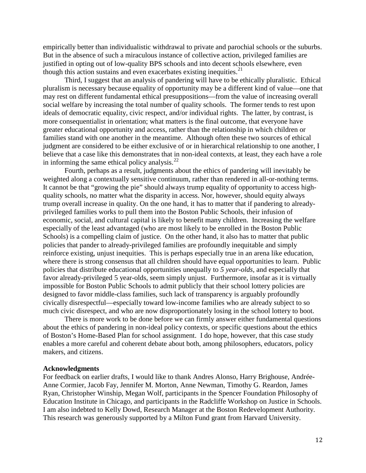empirically better than individualistic withdrawal to private and parochial schools or the suburbs. But in the absence of such a miraculous instance of collective action, privileged families are justified in opting out of low-quality BPS schools and into decent schools elsewhere, even though this action sustains and even exacerbates existing inequities.<sup>[21](#page-18-3)</sup>

Third, I suggest that an analysis of pandering will have to be ethically pluralistic. Ethical pluralism is necessary because equality of opportunity may be a different kind of value—one that may rest on different fundamental ethical presuppositions—from the value of increasing overall social welfare by increasing the total number of quality schools. The former tends to rest upon ideals of democratic equality, civic respect, and/or individual rights. The latter, by contrast, is more consequentialist in orientation; what matters is the final outcome, that everyone have greater educational opportunity and access, rather than the relationship in which children or families stand with one another in the meantime. Although often these two sources of ethical judgment are considered to be either exclusive of or in hierarchical relationship to one another, I believe that a case like this demonstrates that in non-ideal contexts, at least, they each have a role in informing the same ethical policy analysis. $^{22}$  $^{22}$  $^{22}$ 

Fourth, perhaps as a result, judgments about the ethics of pandering will inevitably be weighted along a contextually sensitive continuum, rather than rendered in all-or-nothing terms. It cannot be that "growing the pie" should always trump equality of opportunity to access highquality schools, no matter what the disparity in access. Nor, however, should equity always trump overall increase in quality. On the one hand, it has to matter that if pandering to alreadyprivileged families works to pull them into the Boston Public Schools, their infusion of economic, social, and cultural capital is likely to benefit many children. Increasing the welfare especially of the least advantaged (who are most likely to be enrolled in the Boston Public Schools) is a compelling claim of justice. On the other hand, it also has to matter that public policies that pander to already-privileged families are profoundly inequitable and simply reinforce existing, unjust inequities. This is perhaps especially true in an arena like education, where there is strong consensus that all children should have equal opportunities to learn. Public policies that distribute educational opportunities unequally to *5 year-olds*, and especially that favor already-privileged 5 year-olds, seem simply unjust. Furthermore, insofar as it is virtually impossible for Boston Public Schools to admit publicly that their school lottery policies are designed to favor middle-class families, such lack of transparency is arguably profoundly civically disrespectful—especially toward low-income families who are already subject to so much civic disrespect, and who are now disproportionately losing in the school lottery to boot.

There is more work to be done before we can firmly answer either fundamental questions about the ethics of pandering in non-ideal policy contexts, or specific questions about the ethics of Boston's Home-Based Plan for school assignment. I do hope, however, that this case study enables a more careful and coherent debate about both, among philosophers, educators, policy makers, and citizens.

#### **Acknowledgments**

For feedback on earlier drafts, I would like to thank Andres Alonso, Harry Brighouse, Andrée-Anne Cormier, Jacob Fay, Jennifer M. Morton, Anne Newman, Timothy G. Reardon, James Ryan, Christopher Winship, Megan Wolf, participants in the Spencer Foundation Philosophy of Education Institute in Chicago, and participants in the Radcliffe Workshop on Justice in Schools. I am also indebted to Kelly Dowd, Research Manager at the Boston Redevelopment Authority. This research was generously supported by a Milton Fund grant from Harvard University.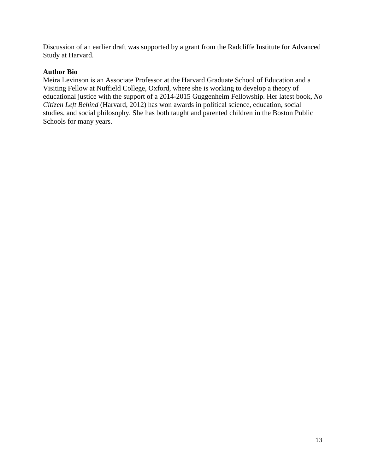Discussion of an earlier draft was supported by a grant from the Radcliffe Institute for Advanced Study at Harvard.

## **Author Bio**

Meira Levinson is an Associate Professor at the Harvard Graduate School of Education and a Visiting Fellow at Nuffield College, Oxford, where she is working to develop a theory of educational justice with the support of a 2014-2015 Guggenheim Fellowship. Her latest book, *No Citizen Left Behind* (Harvard, 2012) has won awards in political science, education, social studies, and social philosophy. She has both taught and parented children in the Boston Public Schools for many years.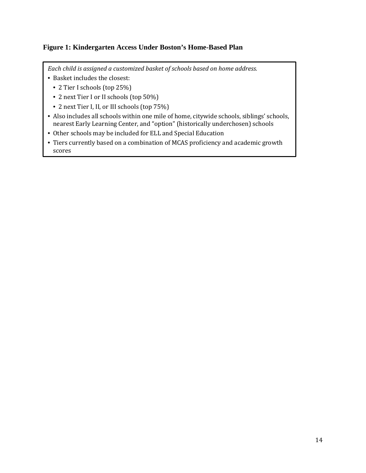## **Figure 1: Kindergarten Access Under Boston's Home-Based Plan**

*Each child is assigned a customized basket of schools based on home address.*

- Basket includes the closest:
	- 2 Tier I schools (top 25%)
	- 2 next Tier I or II schools (top 50%)
	- 2 next Tier I, II, or III schools (top 75%)
- Also includes all schools within one mile of home, citywide schools, siblings' schools, nearest Early Learning Center, and "option" (historically underchosen) schools
- Other schools may be included for ELL and Special Education
- Tiers currently based on a combination of MCAS proficiency and academic growth scores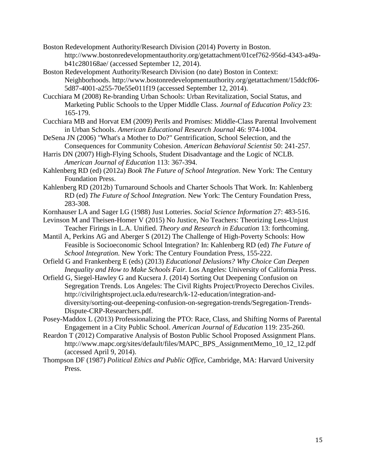Boston Redevelopment Authority/Research Division (2014) Poverty in Boston. http://www.bostonredevelopmentauthority.org/getattachment/01cef762-956d-4343-a49ab41c280168ae/ (accessed September 12, 2014).

Boston Redevelopment Authority/Research Division (no date) Boston in Context: Neighborhoods. http://www.bostonredevelopmentauthority.org/getattachment/15ddcf06- 5d87-4001-a255-70e55e011f19 (accessed September 12, 2014).

Cucchiara M (2008) Re-branding Urban Schools: Urban Revitalization, Social Status, and Marketing Public Schools to the Upper Middle Class. *Journal of Education Policy* 23: 165-179.

Cucchiara MB and Horvat EM (2009) Perils and Promises: Middle-Class Parental Involvement in Urban Schools. *American Educational Research Journal* 46: 974-1004.

DeSena JN (2006) "What's a Mother to Do?" Gentrification, School Selection, and the Consequences for Community Cohesion. *American Behavioral Scientist* 50: 241-257.

Harris DN (2007) High-Flying Schools, Student Disadvantage and the Logic of NCLB. *American Journal of Education* 113: 367-394.

Kahlenberg RD (ed) (2012a) *Book The Future of School Integration*. New York: The Century Foundation Press.

Kahlenberg RD (2012b) Turnaround Schools and Charter Schools That Work. In: Kahlenberg RD (ed) *The Future of School Integration.* New York: The Century Foundation Press, 283-308.

Kornhauser LA and Sager LG (1988) Just Lotteries. *Social Science Information* 27: 483-516.

Levinson M and Theisen-Homer V (2015) No Justice, No Teachers: Theorizing Less-Unjust Teacher Firings in L.A. Unified. *Theory and Research in Education* 13: forthcoming.

Mantil A, Perkins AG and Aberger S (2012) The Challenge of High-Poverty Schools: How Feasible is Socioeconomic School Integration? In: Kahlenberg RD (ed) *The Future of School Integration.* New York: The Century Foundation Press, 155-222.

Orfield G and Frankenberg E (eds) (2013) *Educational Delusions? Why Choice Can Deepen Inequality and How to Make Schools Fair*. Los Angeles: University of California Press.

Orfield G, Siegel-Hawley G and Kucsera J. (2014) Sorting Out Deepening Confusion on Segregation Trends. Los Angeles: The Civil Rights Project/Proyecto Derechos Civiles. http://civilrightsproject.ucla.edu/research/k-12-education/integration-anddiversity/sorting-out-deepening-confusion-on-segregation-trends/Segregation-Trends-Dispute-CRP-Researchers.pdf.

Posey-Maddox L (2013) Professionalizing the PTO: Race, Class, and Shifting Norms of Parental Engagement in a City Public School. *American Journal of Education* 119: 235-260.

Reardon T (2012) Comparative Analysis of Boston Public School Proposed Assignment Plans. http://www.mapc.org/sites/default/files/MAPC\_BPS\_AssignmentMemo\_10\_12\_12.pdf (accessed April 9, 2014).

Thompson DF (1987) *Political Ethics and Public Office,* Cambridge, MA: Harvard University Press.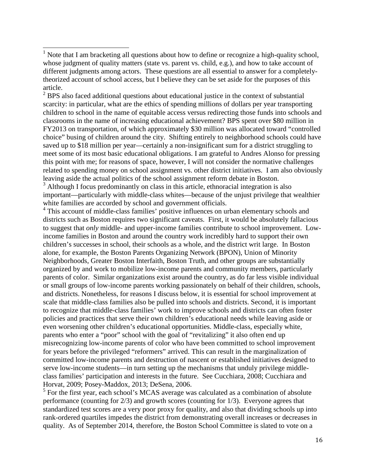<span id="page-16-1"></span><sup>2</sup> BPS also faced additional questions about educational justice in the context of substantial scarcity: in particular, what are the ethics of spending millions of dollars per year transporting children to school in the name of equitable access versus redirecting those funds into schools and classrooms in the name of increasing educational achievement? BPS spent over \$80 million in FY2013 on transportation, of which approximately \$30 million was allocated toward "controlled choice" busing of children around the city. Shifting entirely to neighborhood schools could have saved up to \$18 million per year—certainly a non-insignificant sum for a district struggling to meet some of its most basic educational obligations. I am grateful to Andres Alonso for pressing this point with me; for reasons of space, however, I will not consider the normative challenges related to spending money on school assignment vs. other district initiatives. I am also obviously leaving aside the actual politics of the school assignment reform debate in Boston.

<span id="page-16-2"></span> $3$  Although I focus predominantly on class in this article, ethnoracial integration is also important—particularly with middle-class whites—because of the unjust privilege that wealthier white families are accorded by school and government officials.

<span id="page-16-3"></span><sup>4</sup> This account of middle-class families' positive influences on urban elementary schools and districts such as Boston requires two significant caveats. First, it would be absolutely fallacious to suggest that *only* middle- and upper-income families contribute to school improvement. Lowincome families in Boston and around the country work incredibly hard to support their own children's successes in school, their schools as a whole, and the district writ large. In Boston alone, for example, the Boston Parents Organizing Network (BPON), Union of Minority Neighborhoods, Greater Boston Interfaith, Boston Truth, and other groups are substantially organized by and work to mobilize low-income parents and community members, particularly parents of color. Similar organizations exist around the country, as do far less visible individual or small groups of low-income parents working passionately on behalf of their children, schools, and districts. Nonetheless, for reasons I discuss below, it is essential for school improvement at scale that middle-class families also be pulled into schools and districts. Second, it is important to recognize that middle-class families' work to improve schools and districts can often foster policies and practices that serve their own children's educational needs while leaving aside or even worsening other children's educational opportunities. Middle-class, especially white, parents who enter a "poor" school with the goal of "revitalizing" it also often end up misrecognizing low-income parents of color who have been committed to school improvement for years before the privileged "reformers" arrived. This can result in the marginalization of committed low-income parents and destruction of nascent or established initiatives designed to serve low-income students—in turn setting up the mechanisms that unduly privilege middleclass families' participation and interests in the future. See Cucchiara, 2008; Cucchiara and Horvat, 2009; Posey-Maddox, 2013; DeSena, 2006.<br><sup>5</sup> For the first year, each school's MCAS average was calculated as a combination of absolute

<span id="page-16-4"></span>performance (counting for 2/3) and growth scores (counting for 1/3). Everyone agrees that standardized test scores are a very poor proxy for quality, and also that dividing schools up into rank-ordered quartiles impedes the district from demonstrating overall increases or decreases in quality. As of September 2014, therefore, the Boston School Committee is slated to vote on a

<span id="page-16-0"></span><sup>&</sup>lt;sup>1</sup> Note that I am bracketing all questions about how to define or recognize a high-quality school, whose judgment of quality matters (state vs. parent vs. child, e.g.), and how to take account of different judgments among actors. These questions are all essential to answer for a completelytheorized account of school access, but I believe they can be set aside for the purposes of this article.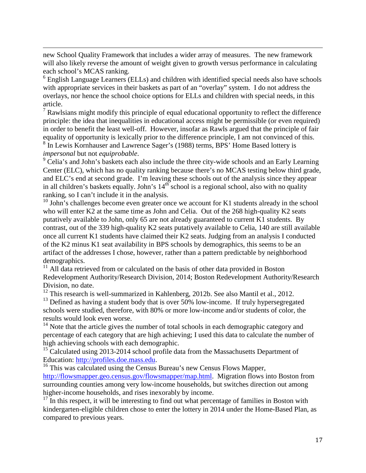j new School Quality Framework that includes a wider array of measures. The new framework will also likely reverse the amount of weight given to growth versus performance in calculating each school's MCAS ranking.

<span id="page-17-0"></span><sup>6</sup> English Language Learners (ELLs) and children with identified special needs also have schools with appropriate services in their baskets as part of an "overlay" system. I do not address the overlays, nor hence the school choice options for ELLs and children with special needs, in this article.

<span id="page-17-1"></span> $<sup>7</sup>$  Rawlsians might modify this principle of equal educational opportunity to reflect the difference</sup> principle: the idea that inequalities in educational access might be permissible (or even required) in order to benefit the least well-off. However, insofar as Rawls argued that the principle of fair equality of opportunity is lexically prior to the difference principle, I am not convinced of this. <sup>8</sup> In Lewis Kornhauser and Lawrence Sager's (1988) terms, BPS' Home Based lottery is *impersonal* but not *equiprobable*.<br><sup>9</sup> Celia's and John's baskets each also include the three city-wide schools and an Early Learning

<span id="page-17-3"></span><span id="page-17-2"></span>Center (ELC), which has no quality ranking because there's no MCAS testing below third grade, and ELC's end at second grade. I'm leaving these schools out of the analysis since they appear in all children's baskets equally. John's  $14<sup>th</sup>$  school is a regional school, also with no quality ranking, so I can't include it in the analysis.

<span id="page-17-4"></span> $10$  John's challenges become even greater once we account for K1 students already in the school who will enter K2 at the same time as John and Celia. Out of the 268 high-quality K2 seats putatively available to John, only 65 are not already guaranteed to current K1 students. By contrast, out of the 339 high-quality K2 seats putatively available to Celia, 140 are still available once all current K1 students have claimed their K2 seats. Judging from an analysis I conducted of the K2 minus K1 seat availability in BPS schools by demographics, this seems to be an artifact of the addresses I chose, however, rather than a pattern predictable by neighborhood demographics.

<span id="page-17-5"></span> $<sup>11</sup>$  All data retrieved from or calculated on the basis of other data provided in Boston</sup> Redevelopment Authority/Research Division, 2014; Boston Redevelopment Authority/Research

<span id="page-17-7"></span>

<span id="page-17-6"></span>Division, no date.<br><sup>12</sup> This research is well-summarized in Kahlenberg, 2012b. See also Mantil et al., 2012.<br><sup>13</sup> Defined as having a student body that is over 50% low-income. If truly hypersegregated schools were studied, therefore, with 80% or more low-income and/or students of color, the results would look even worse.

<span id="page-17-8"></span><sup>14</sup> Note that the article gives the number of total schools in each demographic category and percentage of each category that are high achieving; I used this data to calculate the number of high achieving schools with each demographic.

<span id="page-17-9"></span><sup>15</sup> Calculated using 2013-2014 school profile data from the Massachusetts Department of Education: [http://profiles.doe.mass.edu.](http://profiles.doe.mass.edu/)<br><sup>16</sup> This was calculated using the Census Bureau's new Census Flows Mapper,

<span id="page-17-10"></span>[http://flowsmapper.geo.census.gov/flowsmapper/map.html.](http://flowsmapper.geo.census.gov/flowsmapper/map.html) Migration flows into Boston from surrounding counties among very low-income households, but switches direction out among higher-income households, and rises inexorably by income.

<span id="page-17-11"></span> $17$  In this respect, it will be interesting to find out what percentage of families in Boston with kindergarten-eligible children chose to enter the lottery in 2014 under the Home-Based Plan, as compared to previous years.